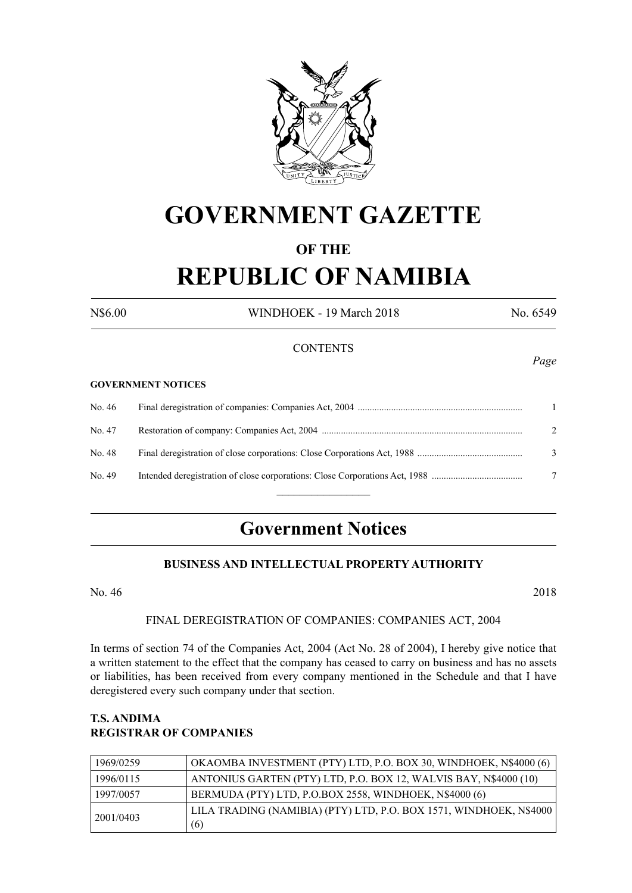

# **GOVERNMENT GAZETTE**

## **OF THE REPUBLIC OF NAMIBIA**

N\$6.00 WINDHOEK - 19 March 2018 No. 6549

*Page*

### **CONTENTS**

#### **GOVERNMENT NOTICES**

| No. 46 |                             |
|--------|-----------------------------|
| No. 47 | $\mathcal{D}_{\mathcal{L}}$ |
| No. 48 | 3                           |
| No. 49 | 7                           |
|        |                             |

## **Government Notices**

### **BUSINESS AND INTELLECTUAL PROPERTY AUTHORITY**

No. 46 2018

#### FINAL DEREGISTRATION OF COMPANIES: COMPANIES ACT, 2004

In terms of section 74 of the Companies Act, 2004 (Act No. 28 of 2004), I hereby give notice that a written statement to the effect that the company has ceased to carry on business and has no assets or liabilities, has been received from every company mentioned in the Schedule and that I have deregistered every such company under that section.

### **T.S. ANDIMA REGISTRAR OF COMPANIES**

| 1969/0259 | OKAOMBA INVESTMENT (PTY) LTD, P.O. BOX 30, WINDHOEK, N\$4000 (6)   |
|-----------|--------------------------------------------------------------------|
| 1996/0115 | ANTONIUS GARTEN (PTY) LTD, P.O. BOX 12, WALVIS BAY, N\$4000 (10)   |
| 1997/0057 | BERMUDA (PTY) LTD, P.O.BOX 2558, WINDHOEK, N\$4000 (6)             |
| 2001/0403 | LILA TRADING (NAMIBIA) (PTY) LTD, P.O. BOX 1571, WINDHOEK, N\$4000 |
|           | (6)                                                                |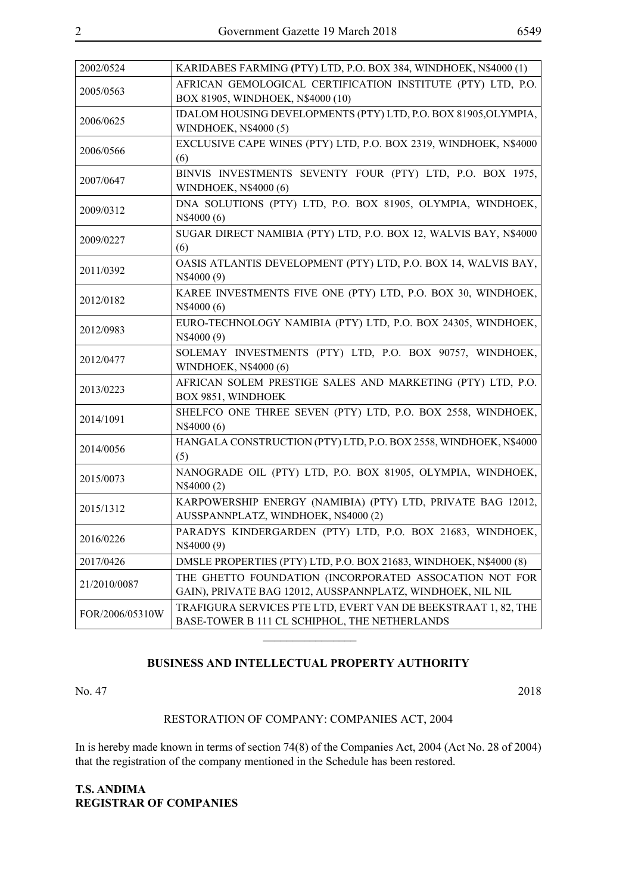| 2002/0524       | KARIDABES FARMING (PTY) LTD, P.O. BOX 384, WINDHOEK, N\$4000 (1)                                                     |
|-----------------|----------------------------------------------------------------------------------------------------------------------|
| 2005/0563       | AFRICAN GEMOLOGICAL CERTIFICATION INSTITUTE (PTY) LTD, P.O.<br>BOX 81905, WINDHOEK, N\$4000 (10)                     |
| 2006/0625       | IDALOM HOUSING DEVELOPMENTS (PTY) LTD, P.O. BOX 81905, OLYMPIA,<br>WINDHOEK, N\$4000 (5)                             |
| 2006/0566       | EXCLUSIVE CAPE WINES (PTY) LTD, P.O. BOX 2319, WINDHOEK, N\$4000<br>(6)                                              |
| 2007/0647       | BINVIS INVESTMENTS SEVENTY FOUR (PTY) LTD, P.O. BOX 1975,<br>WINDHOEK, N\$4000 (6)                                   |
| 2009/0312       | DNA SOLUTIONS (PTY) LTD, P.O. BOX 81905, OLYMPIA, WINDHOEK,<br>N\$4000 (6)                                           |
| 2009/0227       | SUGAR DIRECT NAMIBIA (PTY) LTD, P.O. BOX 12, WALVIS BAY, N\$4000<br>(6)                                              |
| 2011/0392       | OASIS ATLANTIS DEVELOPMENT (PTY) LTD, P.O. BOX 14, WALVIS BAY,<br>N\$4000 (9)                                        |
| 2012/0182       | KAREE INVESTMENTS FIVE ONE (PTY) LTD, P.O. BOX 30, WINDHOEK,<br>N\$4000 (6)                                          |
| 2012/0983       | EURO-TECHNOLOGY NAMIBIA (PTY) LTD, P.O. BOX 24305, WINDHOEK,<br>N\$4000 (9)                                          |
| 2012/0477       | SOLEMAY INVESTMENTS (PTY) LTD, P.O. BOX 90757, WINDHOEK,<br>WINDHOEK, N\$4000 (6)                                    |
| 2013/0223       | AFRICAN SOLEM PRESTIGE SALES AND MARKETING (PTY) LTD, P.O.<br>BOX 9851, WINDHOEK                                     |
| 2014/1091       | SHELFCO ONE THREE SEVEN (PTY) LTD, P.O. BOX 2558, WINDHOEK,<br>N\$4000 (6)                                           |
| 2014/0056       | HANGALA CONSTRUCTION (PTY) LTD, P.O. BOX 2558, WINDHOEK, N\$4000<br>(5)                                              |
| 2015/0073       | NANOGRADE OIL (PTY) LTD, P.O. BOX 81905, OLYMPIA, WINDHOEK,<br>N\$4000 (2)                                           |
| 2015/1312       | KARPOWERSHIP ENERGY (NAMIBIA) (PTY) LTD, PRIVATE BAG 12012,<br>AUSSPANNPLATZ, WINDHOEK, N\$4000 (2)                  |
| 2016/0226       | PARADYS KINDERGARDEN (PTY) LTD, P.O. BOX 21683, WINDHOEK,<br>N\$4000 (9)                                             |
| 2017/0426       | DMSLE PROPERTIES (PTY) LTD, P.O. BOX 21683, WINDHOEK, N\$4000 (8)                                                    |
| 21/2010/0087    | THE GHETTO FOUNDATION (INCORPORATED ASSOCATION NOT FOR<br>GAIN), PRIVATE BAG 12012, AUSSPANNPLATZ, WINDHOEK, NIL NIL |
| FOR/2006/05310W | TRAFIGURA SERVICES PTE LTD, EVERT VAN DE BEEKSTRAAT 1, 82, THE<br>BASE-TOWER B 111 CL SCHIPHOL, THE NETHERLANDS      |

### **BUSINESS AND INTELLECTUAL PROPERTY AUTHORITY**

 $\frac{1}{2}$ 

No. 47 2018

#### RESTORATION OF COMPANY: COMPANIES ACT, 2004

In is hereby made known in terms of section 74(8) of the Companies Act, 2004 (Act No. 28 of 2004) that the registration of the company mentioned in the Schedule has been restored.

**T.S. ANDIMA REGISTRAR OF COMPANIES**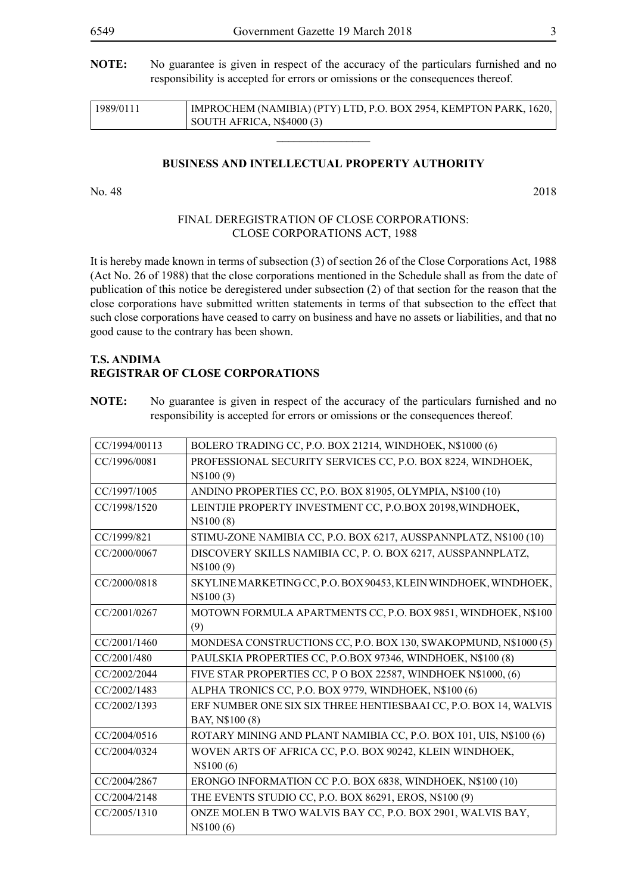**NOTE:** No guarantee is given in respect of the accuracy of the particulars furnished and no responsibility is accepted for errors or omissions or the consequences thereof.

| 1989/0111 | IMPROCHEM (NAMIBIA) (PTY) LTD, P.O. BOX 2954, KEMPTON PARK, 1620, |
|-----------|-------------------------------------------------------------------|
|           | SOUTH AFRICA, N\$4000 (3)                                         |

 $\overline{\phantom{a}}$  , where  $\overline{\phantom{a}}$ 

#### **BUSINESS AND INTELLECTUAL PROPERTY AUTHORITY**

No. 48 2018

#### FINAL DEREGISTRATION OF CLOSE CORPORATIONS: CLOSE CORPORATIONS ACT, 1988

It is hereby made known in terms of subsection (3) of section 26 of the Close Corporations Act, 1988 (Act No. 26 of 1988) that the close corporations mentioned in the Schedule shall as from the date of publication of this notice be deregistered under subsection (2) of that section for the reason that the close corporations have submitted written statements in terms of that subsection to the effect that such close corporations have ceased to carry on business and have no assets or liabilities, and that no good cause to the contrary has been shown.

#### **T.S. ANDIMA REGISTRAR OF CLOSE CORPORATIONS**

**NOTE:** No guarantee is given in respect of the accuracy of the particulars furnished and no responsibility is accepted for errors or omissions or the consequences thereof.

| CC/1994/00113 | BOLERO TRADING CC, P.O. BOX 21214, WINDHOEK, N\$1000 (6)          |
|---------------|-------------------------------------------------------------------|
| CC/1996/0081  | PROFESSIONAL SECURITY SERVICES CC, P.O. BOX 8224, WINDHOEK,       |
|               | N\$100(9)                                                         |
| CC/1997/1005  | ANDINO PROPERTIES CC, P.O. BOX 81905, OLYMPIA, N\$100 (10)        |
| CC/1998/1520  | LEINTJIE PROPERTY INVESTMENT CC, P.O.BOX 20198, WINDHOEK,         |
|               | N\\$100(8)                                                        |
| CC/1999/821   | STIMU-ZONE NAMIBIA CC, P.O. BOX 6217, AUSSPANNPLATZ, N\$100 (10)  |
| CC/2000/0067  | DISCOVERY SKILLS NAMIBIA CC, P. O. BOX 6217, AUSSPANNPLATZ,       |
|               | N\$100(9)                                                         |
| CC/2000/0818  | SKYLINE MARKETING CC, P.O. BOX 90453, KLEIN WINDHOEK, WINDHOEK,   |
|               | N\$100(3)                                                         |
| CC/2001/0267  | MOTOWN FORMULA APARTMENTS CC, P.O. BOX 9851, WINDHOEK, N\$100     |
|               | (9)                                                               |
| CC/2001/1460  | MONDESA CONSTRUCTIONS CC, P.O. BOX 130, SWAKOPMUND, N\$1000 (5)   |
| CC/2001/480   | PAULSKIA PROPERTIES CC, P.O.BOX 97346, WINDHOEK, N\$100 (8)       |
| CC/2002/2044  | FIVE STAR PROPERTIES CC, P O BOX 22587, WINDHOEK N\$1000, (6)     |
| CC/2002/1483  | ALPHA TRONICS CC, P.O. BOX 9779, WINDHOEK, N\$100 (6)             |
| CC/2002/1393  | ERF NUMBER ONE SIX SIX THREE HENTIESBAAI CC, P.O. BOX 14, WALVIS  |
|               | BAY, N\$100 (8)                                                   |
| CC/2004/0516  | ROTARY MINING AND PLANT NAMIBIA CC, P.O. BOX 101, UIS, N\$100 (6) |
| CC/2004/0324  | WOVEN ARTS OF AFRICA CC, P.O. BOX 90242, KLEIN WINDHOEK,          |
|               | N\\$100 (6)                                                       |
| CC/2004/2867  | ERONGO INFORMATION CC P.O. BOX 6838, WINDHOEK, N\$100 (10)        |
| CC/2004/2148  | THE EVENTS STUDIO CC, P.O. BOX 86291, EROS, N\$100 (9)            |
| CC/2005/1310  | ONZE MOLEN B TWO WALVIS BAY CC, P.O. BOX 2901, WALVIS BAY,        |
|               | N\$100(6)                                                         |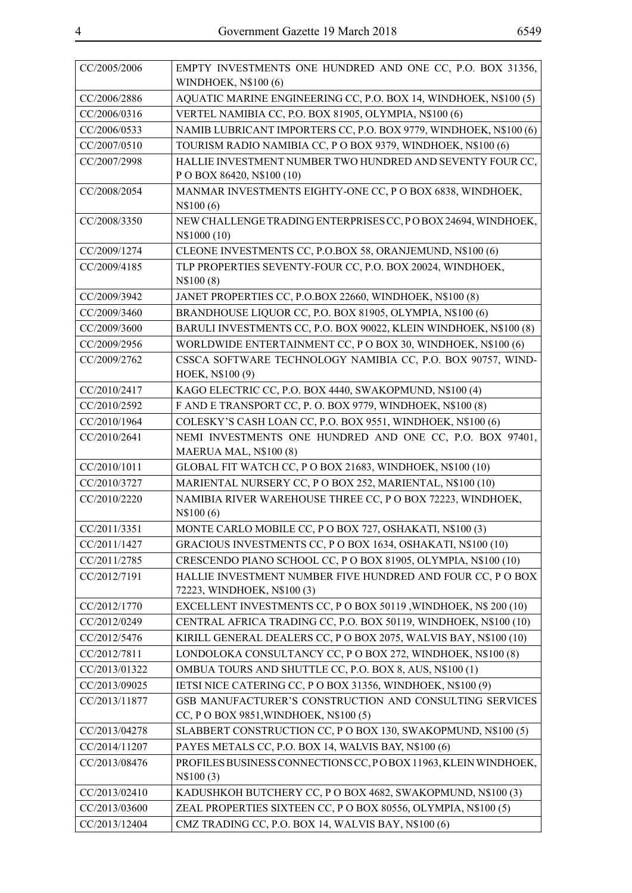CC/2005/2006 EMPTY INVESTMENTS ONE HUNDRED AND ONE CC, P.O. BOX 31356,

|               | <b>WINDHOEK, N\$100 (6)</b>                                                               |
|---------------|-------------------------------------------------------------------------------------------|
| CC/2006/2886  | AQUATIC MARINE ENGINEERING CC, P.O. BOX 14, WINDHOEK, N\$100 (5)                          |
| CC/2006/0316  | VERTEL NAMIBIA CC, P.O. BOX 81905, OLYMPIA, N\$100 (6)                                    |
| CC/2006/0533  | NAMIB LUBRICANT IMPORTERS CC, P.O. BOX 9779, WINDHOEK, N\$100 (6)                         |
| CC/2007/0510  | TOURISM RADIO NAMIBIA CC, P O BOX 9379, WINDHOEK, N\$100 (6)                              |
| CC/2007/2998  | HALLIE INVESTMENT NUMBER TWO HUNDRED AND SEVENTY FOUR CC,<br>P O BOX 86420, N\$100 (10)   |
| CC/2008/2054  | MANMAR INVESTMENTS EIGHTY-ONE CC, P O BOX 6838, WINDHOEK,<br>N\$100(6)                    |
| CC/2008/3350  | NEW CHALLENGE TRADING ENTERPRISES CC, POBOX 24694, WINDHOEK,<br>N\$1000 (10)              |
| CC/2009/1274  | CLEONE INVESTMENTS CC, P.O.BOX 58, ORANJEMUND, N\$100 (6)                                 |
| CC/2009/4185  | TLP PROPERTIES SEVENTY-FOUR CC, P.O. BOX 20024, WINDHOEK,<br>N\$100(8)                    |
| CC/2009/3942  | JANET PROPERTIES CC, P.O.BOX 22660, WINDHOEK, N\$100 (8)                                  |
| CC/2009/3460  | BRANDHOUSE LIQUOR CC, P.O. BOX 81905, OLYMPIA, N\$100 (6)                                 |
| CC/2009/3600  | BARULI INVESTMENTS CC, P.O. BOX 90022, KLEIN WINDHOEK, N\$100 (8)                         |
| CC/2009/2956  | WORLDWIDE ENTERTAINMENT CC, P O BOX 30, WINDHOEK, N\$100 (6)                              |
| CC/2009/2762  | CSSCA SOFTWARE TECHNOLOGY NAMIBIA CC, P.O. BOX 90757, WIND-<br>HOEK, N\$100 (9)           |
| CC/2010/2417  | KAGO ELECTRIC CC, P.O. BOX 4440, SWAKOPMUND, N\$100 (4)                                   |
| CC/2010/2592  | F AND E TRANSPORT CC, P. O. BOX 9779, WINDHOEK, N\$100 (8)                                |
| CC/2010/1964  | COLESKY'S CASH LOAN CC, P.O. BOX 9551, WINDHOEK, N\$100 (6)                               |
| CC/2010/2641  | NEMI INVESTMENTS ONE HUNDRED AND ONE CC, P.O. BOX 97401,<br>MAERUA MAL, N\$100 (8)        |
| CC/2010/1011  | GLOBAL FIT WATCH CC, P O BOX 21683, WINDHOEK, N\$100 (10)                                 |
| CC/2010/3727  | MARIENTAL NURSERY CC, PO BOX 252, MARIENTAL, N\$100 (10)                                  |
| CC/2010/2220  | NAMIBIA RIVER WAREHOUSE THREE CC, P O BOX 72223, WINDHOEK,<br>N\$100(6)                   |
| CC/2011/3351  | MONTE CARLO MOBILE CC, P O BOX 727, OSHAKATI, N\$100 (3)                                  |
| CC/2011/1427  | GRACIOUS INVESTMENTS CC, P O BOX 1634, OSHAKATI, N\$100 (10)                              |
| CC/2011/2785  | CRESCENDO PIANO SCHOOL CC, P O BOX 81905, OLYMPIA, N\$100 (10)                            |
| CC/2012/7191  | HALLIE INVESTMENT NUMBER FIVE HUNDRED AND FOUR CC, P O BOX<br>72223, WINDHOEK, N\$100 (3) |
| CC/2012/1770  | EXCELLENT INVESTMENTS CC, P O BOX 50119, WINDHOEK, N\$ 200 (10)                           |
| CC/2012/0249  | CENTRAL AFRICA TRADING CC, P.O. BOX 50119, WINDHOEK, N\$100 (10)                          |
| CC/2012/5476  | KIRILL GENERAL DEALERS CC, P O BOX 2075, WALVIS BAY, N\$100 (10)                          |
| CC/2012/7811  | LONDOLOKA CONSULTANCY CC, P O BOX 272, WINDHOEK, N\$100 (8)                               |
| CC/2013/01322 | OMBUA TOURS AND SHUTTLE CC, P.O. BOX 8, AUS, N\$100 (1)                                   |
| CC/2013/09025 | IETSI NICE CATERING CC, PO BOX 31356, WINDHOEK, N\$100 (9)                                |
| CC/2013/11877 | GSB MANUFACTURER'S CONSTRUCTION AND CONSULTING SERVICES                                   |
|               | CC, P O BOX 9851, WINDHOEK, N\$100 (5)                                                    |
| CC/2013/04278 | SLABBERT CONSTRUCTION CC, P O BOX 130, SWAKOPMUND, N\$100 (5)                             |
| CC/2014/11207 | PAYES METALS CC, P.O. BOX 14, WALVIS BAY, N\$100 (6)                                      |
| CC/2013/08476 | PROFILES BUSINESS CONNECTIONS CC, POBOX 11963, KLEIN WINDHOEK,                            |
|               | N\$100(3)                                                                                 |
| CC/2013/02410 | KADUSHKOH BUTCHERY CC, P O BOX 4682, SWAKOPMUND, N\$100 (3)                               |
| CC/2013/03600 | ZEAL PROPERTIES SIXTEEN CC, P O BOX 80556, OLYMPIA, N\$100 (5)                            |
| CC/2013/12404 | CMZ TRADING CC, P.O. BOX 14, WALVIS BAY, N\$100 (6)                                       |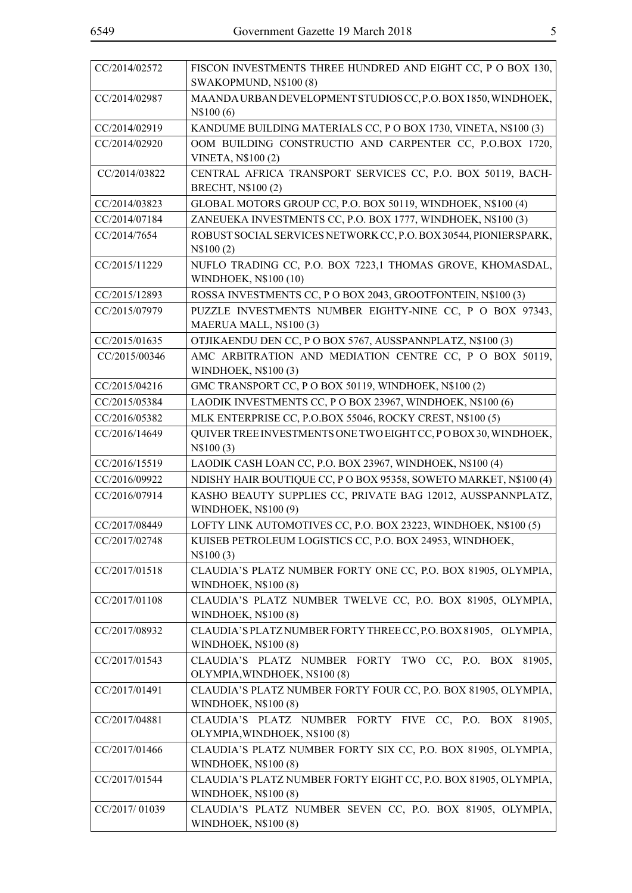| CC/2014/02572 | FISCON INVESTMENTS THREE HUNDRED AND EIGHT CC, P O BOX 130,<br>SWAKOPMUND, N\$100 (8)          |
|---------------|------------------------------------------------------------------------------------------------|
| CC/2014/02987 | MAANDA URBAN DEVELOPMENT STUDIOS CC, P.O. BOX 1850, WINDHOEK,<br>N\\$100 (6)                   |
| CC/2014/02919 | KANDUME BUILDING MATERIALS CC, P O BOX 1730, VINETA, N\$100 (3)                                |
| CC/2014/02920 | OOM BUILDING CONSTRUCTIO AND CARPENTER CC, P.O.BOX 1720,<br><b>VINETA, N\$100(2)</b>           |
| CC/2014/03822 | CENTRAL AFRICA TRANSPORT SERVICES CC, P.O. BOX 50119, BACH-<br>BRECHT, N\$100 (2)              |
| CC/2014/03823 | GLOBAL MOTORS GROUP CC, P.O. BOX 50119, WINDHOEK, N\$100 (4)                                   |
| CC/2014/07184 | ZANEUEKA INVESTMENTS CC, P.O. BOX 1777, WINDHOEK, N\$100 (3)                                   |
| CC/2014/7654  | ROBUST SOCIAL SERVICES NETWORK CC, P.O. BOX 30544, PIONIERSPARK,<br>N\\$100(2)                 |
| CC/2015/11229 | NUFLO TRADING CC, P.O. BOX 7223,1 THOMAS GROVE, KHOMASDAL,<br>WINDHOEK, N\$100 (10)            |
| CC/2015/12893 | ROSSA INVESTMENTS CC, P O BOX 2043, GROOTFONTEIN, N\$100 (3)                                   |
| CC/2015/07979 | PUZZLE INVESTMENTS NUMBER EIGHTY-NINE CC, P O BOX 97343,<br>MAERUA MALL, N\$100 (3)            |
| CC/2015/01635 | OTJIKAENDU DEN CC, P O BOX 5767, AUSSPANNPLATZ, N\$100 (3)                                     |
| CC/2015/00346 | AMC ARBITRATION AND MEDIATION CENTRE CC, P O BOX 50119,<br>WINDHOEK, N\$100 (3)                |
| CC/2015/04216 | GMC TRANSPORT CC, P O BOX 50119, WINDHOEK, N\$100 (2)                                          |
| CC/2015/05384 | LAODIK INVESTMENTS CC, P O BOX 23967, WINDHOEK, N\$100 (6)                                     |
| CC/2016/05382 | MLK ENTERPRISE CC, P.O.BOX 55046, ROCKY CREST, N\$100 (5)                                      |
| CC/2016/14649 | QUIVER TREE INVESTMENTS ONE TWO EIGHT CC, PO BOX 30, WINDHOEK,<br>N\$100(3)                    |
| CC/2016/15519 | LAODIK CASH LOAN CC, P.O. BOX 23967, WINDHOEK, N\$100 (4)                                      |
| CC/2016/09922 | NDISHY HAIR BOUTIQUE CC, P O BOX 95358, SOWETO MARKET, N\$100 (4)                              |
| CC/2016/07914 | KASHO BEAUTY SUPPLIES CC, PRIVATE BAG 12012, AUSSPANNPLATZ,<br>WINDHOEK, N\$100 (9)            |
| CC/2017/08449 | LOFTY LINK AUTOMOTIVES CC, P.O. BOX 23223, WINDHOEK, N\$100 (5)                                |
| CC/2017/02748 | KUISEB PETROLEUM LOGISTICS CC, P.O. BOX 24953, WINDHOEK,<br>N\$100(3)                          |
| CC/2017/01518 | CLAUDIA'S PLATZ NUMBER FORTY ONE CC, P.O. BOX 81905, OLYMPIA,<br><b>WINDHOEK, N\$100 (8)</b>   |
| CC/2017/01108 | CLAUDIA'S PLATZ NUMBER TWELVE CC, P.O. BOX 81905, OLYMPIA,<br><b>WINDHOEK, N\$100 (8)</b>      |
| CC/2017/08932 | CLAUDIA'S PLATZ NUMBER FORTY THREE CC, P.O. BOX 81905, OLYMPIA,<br><b>WINDHOEK, N\$100 (8)</b> |
| CC/2017/01543 | CLAUDIA'S PLATZ NUMBER FORTY TWO CC, P.O. BOX 81905,<br>OLYMPIA, WINDHOEK, N\$100 (8)          |
| CC/2017/01491 | CLAUDIA'S PLATZ NUMBER FORTY FOUR CC, P.O. BOX 81905, OLYMPIA,<br><b>WINDHOEK, N\$100 (8)</b>  |
| CC/2017/04881 | CLAUDIA'S PLATZ NUMBER FORTY FIVE CC, P.O. BOX 81905,<br>OLYMPIA, WINDHOEK, N\$100 (8)         |
| CC/2017/01466 | CLAUDIA'S PLATZ NUMBER FORTY SIX CC, P.O. BOX 81905, OLYMPIA,<br><b>WINDHOEK, N\$100 (8)</b>   |
| CC/2017/01544 | CLAUDIA'S PLATZ NUMBER FORTY EIGHT CC, P.O. BOX 81905, OLYMPIA,<br><b>WINDHOEK, N\$100 (8)</b> |
| CC/2017/01039 | CLAUDIA'S PLATZ NUMBER SEVEN CC, P.O. BOX 81905, OLYMPIA,<br><b>WINDHOEK, N\$100 (8)</b>       |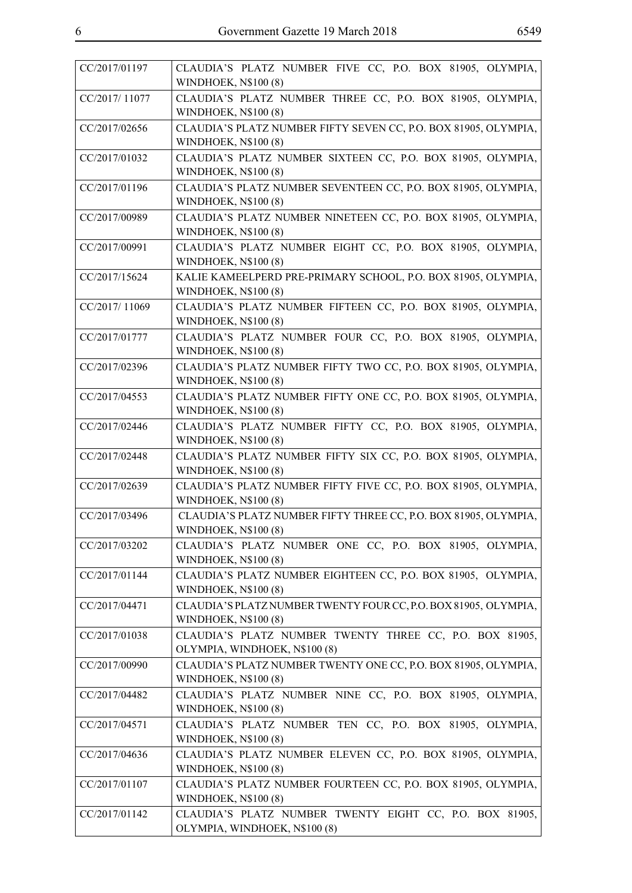| CC/2017/01197 | CLAUDIA'S PLATZ NUMBER FIVE CC, P.O. BOX 81905, OLYMPIA,<br><b>WINDHOEK, N\$100 (8)</b>        |
|---------------|------------------------------------------------------------------------------------------------|
| CC/2017/11077 | CLAUDIA'S PLATZ NUMBER THREE CC, P.O. BOX 81905, OLYMPIA,<br><b>WINDHOEK, N\$100 (8)</b>       |
| CC/2017/02656 | CLAUDIA'S PLATZ NUMBER FIFTY SEVEN CC, P.O. BOX 81905, OLYMPIA,<br><b>WINDHOEK, N\$100 (8)</b> |
| CC/2017/01032 | CLAUDIA'S PLATZ NUMBER SIXTEEN CC, P.O. BOX 81905, OLYMPIA,<br><b>WINDHOEK, N\$100 (8)</b>     |
| CC/2017/01196 | CLAUDIA'S PLATZ NUMBER SEVENTEEN CC, P.O. BOX 81905, OLYMPIA,<br><b>WINDHOEK, N\$100 (8)</b>   |
| CC/2017/00989 | CLAUDIA'S PLATZ NUMBER NINETEEN CC, P.O. BOX 81905, OLYMPIA,<br><b>WINDHOEK, N\$100 (8)</b>    |
| CC/2017/00991 | CLAUDIA'S PLATZ NUMBER EIGHT CC, P.O. BOX 81905, OLYMPIA,<br><b>WINDHOEK, N\$100 (8)</b>       |
| CC/2017/15624 | KALIE KAMEELPERD PRE-PRIMARY SCHOOL, P.O. BOX 81905, OLYMPIA,<br><b>WINDHOEK, N\$100 (8)</b>   |
| CC/2017/11069 | CLAUDIA'S PLATZ NUMBER FIFTEEN CC, P.O. BOX 81905, OLYMPIA,<br><b>WINDHOEK, N\$100 (8)</b>     |
| CC/2017/01777 | CLAUDIA'S PLATZ NUMBER FOUR CC, P.O. BOX 81905, OLYMPIA,<br><b>WINDHOEK, N\$100 (8)</b>        |
| CC/2017/02396 | CLAUDIA'S PLATZ NUMBER FIFTY TWO CC, P.O. BOX 81905, OLYMPIA,<br><b>WINDHOEK, N\$100 (8)</b>   |
| CC/2017/04553 | CLAUDIA'S PLATZ NUMBER FIFTY ONE CC, P.O. BOX 81905, OLYMPIA,<br><b>WINDHOEK, N\$100 (8)</b>   |
| CC/2017/02446 | CLAUDIA'S PLATZ NUMBER FIFTY CC, P.O. BOX 81905, OLYMPIA,<br><b>WINDHOEK, N\$100 (8)</b>       |
| CC/2017/02448 | CLAUDIA'S PLATZ NUMBER FIFTY SIX CC, P.O. BOX 81905, OLYMPIA,<br><b>WINDHOEK, N\$100 (8)</b>   |
| CC/2017/02639 | CLAUDIA'S PLATZ NUMBER FIFTY FIVE CC, P.O. BOX 81905, OLYMPIA,<br><b>WINDHOEK, N\$100 (8)</b>  |
| CC/2017/03496 | CLAUDIA'S PLATZ NUMBER FIFTY THREE CC, P.O. BOX 81905, OLYMPIA,<br><b>WINDHOEK, N\$100 (8)</b> |
| CC/2017/03202 | CLAUDIA'S PLATZ NUMBER ONE CC, P.O. BOX 81905, OLYMPIA,<br><b>WINDHOEK, N\$100 (8)</b>         |
| CC/2017/01144 | CLAUDIA'S PLATZ NUMBER EIGHTEEN CC, P.O. BOX 81905, OLYMPIA,<br><b>WINDHOEK, N\$100 (8)</b>    |
| CC/2017/04471 | CLAUDIA'S PLATZ NUMBER TWENTY FOUR CC, P.O. BOX 81905, OLYMPIA,<br><b>WINDHOEK, N\$100 (8)</b> |
| CC/2017/01038 | CLAUDIA'S PLATZ NUMBER TWENTY THREE CC, P.O. BOX 81905,<br>OLYMPIA, WINDHOEK, N\$100 (8)       |
| CC/2017/00990 | CLAUDIA'S PLATZ NUMBER TWENTY ONE CC, P.O. BOX 81905, OLYMPIA,<br><b>WINDHOEK, N\$100 (8)</b>  |
| CC/2017/04482 | CLAUDIA'S PLATZ NUMBER NINE CC, P.O. BOX 81905, OLYMPIA,<br><b>WINDHOEK, N\$100 (8)</b>        |
| CC/2017/04571 | CLAUDIA'S PLATZ NUMBER TEN CC, P.O. BOX 81905, OLYMPIA,<br><b>WINDHOEK, N\$100 (8)</b>         |
| CC/2017/04636 | CLAUDIA'S PLATZ NUMBER ELEVEN CC, P.O. BOX 81905, OLYMPIA,<br><b>WINDHOEK, N\$100 (8)</b>      |
| CC/2017/01107 | CLAUDIA'S PLATZ NUMBER FOURTEEN CC, P.O. BOX 81905, OLYMPIA,<br><b>WINDHOEK, N\$100 (8)</b>    |
| CC/2017/01142 | CLAUDIA'S PLATZ NUMBER TWENTY EIGHT CC, P.O. BOX 81905,<br>OLYMPIA, WINDHOEK, N\$100 (8)       |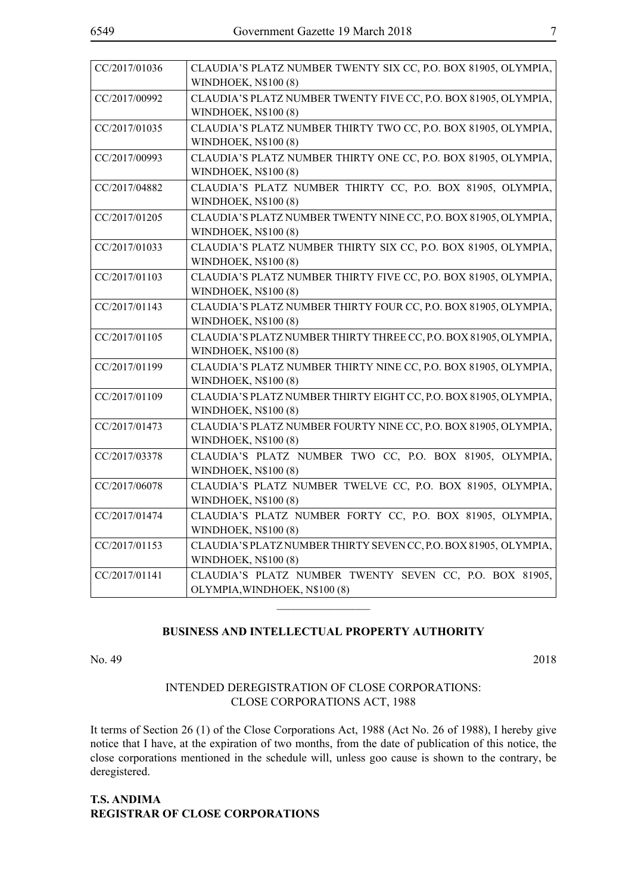| CC/2017/01036 | CLAUDIA'S PLATZ NUMBER TWENTY SIX CC, P.O. BOX 81905, OLYMPIA,<br><b>WINDHOEK, N\$100 (8)</b>   |
|---------------|-------------------------------------------------------------------------------------------------|
| CC/2017/00992 | CLAUDIA'S PLATZ NUMBER TWENTY FIVE CC, P.O. BOX 81905, OLYMPIA,<br><b>WINDHOEK, N\$100 (8)</b>  |
| CC/2017/01035 | CLAUDIA'S PLATZ NUMBER THIRTY TWO CC, P.O. BOX 81905, OLYMPIA,<br>WINDHOEK, N\$100 (8)          |
| CC/2017/00993 | CLAUDIA'S PLATZ NUMBER THIRTY ONE CC, P.O. BOX 81905, OLYMPIA,<br><b>WINDHOEK, N\$100 (8)</b>   |
| CC/2017/04882 | CLAUDIA'S PLATZ NUMBER THIRTY CC, P.O. BOX 81905, OLYMPIA,<br><b>WINDHOEK, N\$100 (8)</b>       |
| CC/2017/01205 | CLAUDIA'S PLATZ NUMBER TWENTY NINE CC, P.O. BOX 81905, OLYMPIA,<br><b>WINDHOEK, N\$100 (8)</b>  |
| CC/2017/01033 | CLAUDIA'S PLATZ NUMBER THIRTY SIX CC, P.O. BOX 81905, OLYMPIA,<br><b>WINDHOEK, N\$100 (8)</b>   |
| CC/2017/01103 | CLAUDIA'S PLATZ NUMBER THIRTY FIVE CC, P.O. BOX 81905, OLYMPIA,<br><b>WINDHOEK, N\$100 (8)</b>  |
| CC/2017/01143 | CLAUDIA'S PLATZ NUMBER THIRTY FOUR CC, P.O. BOX 81905, OLYMPIA,<br><b>WINDHOEK, N\$100 (8)</b>  |
| CC/2017/01105 | CLAUDIA'S PLATZ NUMBER THIRTY THREE CC, P.O. BOX 81905, OLYMPIA,<br><b>WINDHOEK, N\$100 (8)</b> |
| CC/2017/01199 | CLAUDIA'S PLATZ NUMBER THIRTY NINE CC, P.O. BOX 81905, OLYMPIA,<br><b>WINDHOEK, N\$100 (8)</b>  |
| CC/2017/01109 | CLAUDIA'S PLATZ NUMBER THIRTY EIGHT CC, P.O. BOX 81905, OLYMPIA,<br><b>WINDHOEK, N\$100 (8)</b> |
| CC/2017/01473 | CLAUDIA'S PLATZ NUMBER FOURTY NINE CC, P.O. BOX 81905, OLYMPIA,<br><b>WINDHOEK, N\$100 (8)</b>  |
| CC/2017/03378 | CLAUDIA'S PLATZ NUMBER TWO CC, P.O. BOX 81905, OLYMPIA,<br><b>WINDHOEK, N\$100 (8)</b>          |
| CC/2017/06078 | CLAUDIA'S PLATZ NUMBER TWELVE CC, P.O. BOX 81905, OLYMPIA,<br>WINDHOEK, N\$100 (8)              |
| CC/2017/01474 | CLAUDIA'S PLATZ NUMBER FORTY CC, P.O. BOX 81905, OLYMPIA,<br><b>WINDHOEK, N\$100 (8)</b>        |
| CC/2017/01153 | CLAUDIA'S PLATZ NUMBER THIRTY SEVEN CC, P.O. BOX 81905, OLYMPIA,<br><b>WINDHOEK, N\$100 (8)</b> |
| CC/2017/01141 | CLAUDIA'S PLATZ NUMBER TWENTY SEVEN CC, P.O. BOX 81905,<br>OLYMPIA, WINDHOEK, N\$100 (8)        |

#### **BUSINESS AND INTELLECTUAL PROPERTY AUTHORITY**

 $\overline{\phantom{a}}$  , where  $\overline{\phantom{a}}$ 

No. 49 2018

#### INTENDED DEREGISTRATION OF CLOSE CORPORATIONS: CLOSE CORPORATIONS ACT, 1988

It terms of Section 26 (1) of the Close Corporations Act, 1988 (Act No. 26 of 1988), I hereby give notice that I have, at the expiration of two months, from the date of publication of this notice, the close corporations mentioned in the schedule will, unless goo cause is shown to the contrary, be deregistered.

#### **T.S. ANDIMA REGISTRAR OF CLOSE CORPORATIONS**